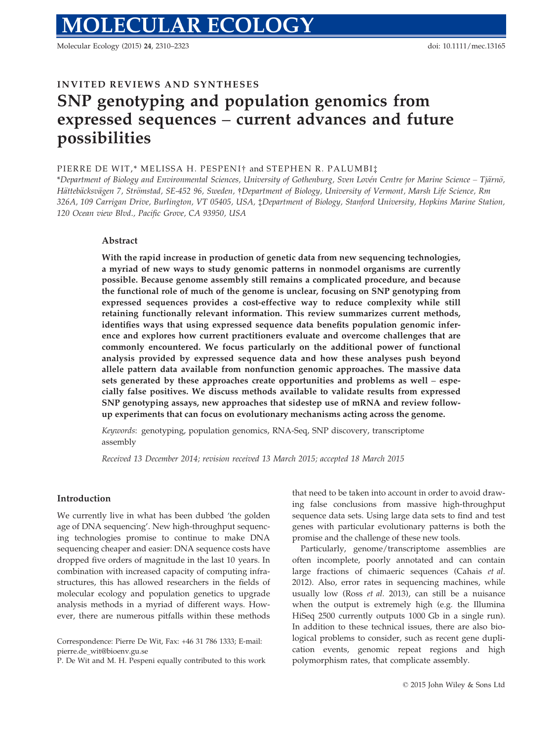Molecular Ecology (2015) 24, 2310–2323 doi: 10.1111/mec.13165

# INVITED REVIEWS AND SYNTHESES

# SNP genotyping and population genomics from expressed sequences – current advances and future possibilities

#### PIERRE DE WIT,\* MELISSA H. PESPENI† and STEPHEN R. PALUMBI‡

\*Department of Biology and Environmental Sciences, University of Gothenburg, Sven Lovén Centre for Marine Science – Tjärnö, Hättebäcksvägen 7, Strömstad, SE-452 96, Sweden, †Department of Biology, University of Vermont, Marsh Life Science, Rm 326A, 109 Carrigan Drive, Burlington, VT 05405, USA, ‡Department of Biology, Stanford University, Hopkins Marine Station, 120 Ocean view Blvd., Pacific Grove, CA 93950, USA

## Abstract

With the rapid increase in production of genetic data from new sequencing technologies, a myriad of new ways to study genomic patterns in nonmodel organisms are currently possible. Because genome assembly still remains a complicated procedure, and because the functional role of much of the genome is unclear, focusing on SNP genotyping from expressed sequences provides a cost-effective way to reduce complexity while still retaining functionally relevant information. This review summarizes current methods, identifies ways that using expressed sequence data benefits population genomic inference and explores how current practitioners evaluate and overcome challenges that are commonly encountered. We focus particularly on the additional power of functional analysis provided by expressed sequence data and how these analyses push beyond allele pattern data available from nonfunction genomic approaches. The massive data sets generated by these approaches create opportunities and problems as well – especially false positives. We discuss methods available to validate results from expressed SNP genotyping assays, new approaches that sidestep use of mRNA and review followup experiments that can focus on evolutionary mechanisms acting across the genome.

Keywords: genotyping, population genomics, RNA-Seq, SNP discovery, transcriptome assembly

Received 13 December 2014; revision received 13 March 2015; accepted 18 March 2015

#### Introduction

We currently live in what has been dubbed 'the golden age of DNA sequencing'. New high-throughput sequencing technologies promise to continue to make DNA sequencing cheaper and easier: DNA sequence costs have dropped five orders of magnitude in the last 10 years. In combination with increased capacity of computing infrastructures, this has allowed researchers in the fields of molecular ecology and population genetics to upgrade analysis methods in a myriad of different ways. However, there are numerous pitfalls within these methods

Correspondence: Pierre De Wit, Fax: +46 31 786 1333; E-mail: pierre.de\_wit@bioenv.gu.se

P. De Wit and M. H. Pespeni equally contributed to this work

that need to be taken into account in order to avoid drawing false conclusions from massive high-throughput sequence data sets. Using large data sets to find and test genes with particular evolutionary patterns is both the promise and the challenge of these new tools.

Particularly, genome/transcriptome assemblies are often incomplete, poorly annotated and can contain large fractions of chimaeric sequences (Cahais et al. 2012). Also, error rates in sequencing machines, while usually low (Ross et al. 2013), can still be a nuisance when the output is extremely high (e.g. the Illumina HiSeq 2500 currently outputs 1000 Gb in a single run). In addition to these technical issues, there are also biological problems to consider, such as recent gene duplication events, genomic repeat regions and high polymorphism rates, that complicate assembly.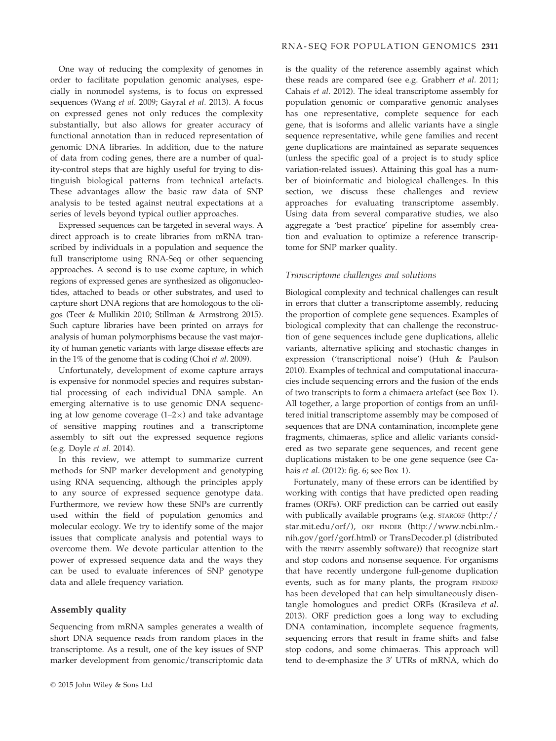One way of reducing the complexity of genomes in order to facilitate population genomic analyses, especially in nonmodel systems, is to focus on expressed sequences (Wang et al. 2009; Gayral et al. 2013). A focus on expressed genes not only reduces the complexity substantially, but also allows for greater accuracy of functional annotation than in reduced representation of genomic DNA libraries. In addition, due to the nature of data from coding genes, there are a number of quality-control steps that are highly useful for trying to distinguish biological patterns from technical artefacts. These advantages allow the basic raw data of SNP analysis to be tested against neutral expectations at a series of levels beyond typical outlier approaches.

Expressed sequences can be targeted in several ways. A direct approach is to create libraries from mRNA transcribed by individuals in a population and sequence the full transcriptome using RNA-Seq or other sequencing approaches. A second is to use exome capture, in which regions of expressed genes are synthesized as oligonucleotides, attached to beads or other substrates, and used to capture short DNA regions that are homologous to the oligos (Teer & Mullikin 2010; Stillman & Armstrong 2015). Such capture libraries have been printed on arrays for analysis of human polymorphisms because the vast majority of human genetic variants with large disease effects are in the 1% of the genome that is coding (Choi et al. 2009).

Unfortunately, development of exome capture arrays is expensive for nonmodel species and requires substantial processing of each individual DNA sample. An emerging alternative is to use genomic DNA sequencing at low genome coverage  $(1-2\times)$  and take advantage of sensitive mapping routines and a transcriptome assembly to sift out the expressed sequence regions (e.g. Doyle et al. 2014).

In this review, we attempt to summarize current methods for SNP marker development and genotyping using RNA sequencing, although the principles apply to any source of expressed sequence genotype data. Furthermore, we review how these SNPs are currently used within the field of population genomics and molecular ecology. We try to identify some of the major issues that complicate analysis and potential ways to overcome them. We devote particular attention to the power of expressed sequence data and the ways they can be used to evaluate inferences of SNP genotype data and allele frequency variation.

# Assembly quality

Sequencing from mRNA samples generates a wealth of short DNA sequence reads from random places in the transcriptome. As a result, one of the key issues of SNP marker development from genomic/transcriptomic data

is the quality of the reference assembly against which these reads are compared (see e.g. Grabherr et al. 2011; Cahais et al. 2012). The ideal transcriptome assembly for population genomic or comparative genomic analyses has one representative, complete sequence for each gene, that is isoforms and allelic variants have a single sequence representative, while gene families and recent gene duplications are maintained as separate sequences (unless the specific goal of a project is to study splice variation-related issues). Attaining this goal has a number of bioinformatic and biological challenges. In this section, we discuss these challenges and review approaches for evaluating transcriptome assembly. Using data from several comparative studies, we also aggregate a 'best practice' pipeline for assembly creation and evaluation to optimize a reference transcriptome for SNP marker quality.

#### Transcriptome challenges and solutions

Biological complexity and technical challenges can result in errors that clutter a transcriptome assembly, reducing the proportion of complete gene sequences. Examples of biological complexity that can challenge the reconstruction of gene sequences include gene duplications, allelic variants, alternative splicing and stochastic changes in expression ('transcriptional noise') (Huh & Paulson 2010). Examples of technical and computational inaccuracies include sequencing errors and the fusion of the ends of two transcripts to form a chimaera artefact (see Box 1). All together, a large proportion of contigs from an unfiltered initial transcriptome assembly may be composed of sequences that are DNA contamination, incomplete gene fragments, chimaeras, splice and allelic variants considered as two separate gene sequences, and recent gene duplications mistaken to be one gene sequence (see Cahais et al. (2012): fig. 6; see Box 1).

Fortunately, many of these errors can be identified by working with contigs that have predicted open reading frames (ORFs). ORF prediction can be carried out easily with publically available programs (e.g. STARORF ([http://](http://star.mit.edu/orf/) [star.mit.edu/orf/\)](http://star.mit.edu/orf/), ORF FINDER ([http://www.ncbi.nlm.](http://www.ncbi.nlm.nih.gov/gorf/gorf.html) [nih.gov/gorf/gorf.html](http://www.ncbi.nlm.nih.gov/gorf/gorf.html)) or TransDecoder.pl (distributed with the TRINITY assembly software)) that recognize start and stop codons and nonsense sequence. For organisms that have recently undergone full-genome duplication events, such as for many plants, the program FINDORF has been developed that can help simultaneously disentangle homologues and predict ORFs (Krasileva et al. 2013). ORF prediction goes a long way to excluding DNA contamination, incomplete sequence fragments, sequencing errors that result in frame shifts and false stop codons, and some chimaeras. This approach will tend to de-emphasize the 3' UTRs of mRNA, which do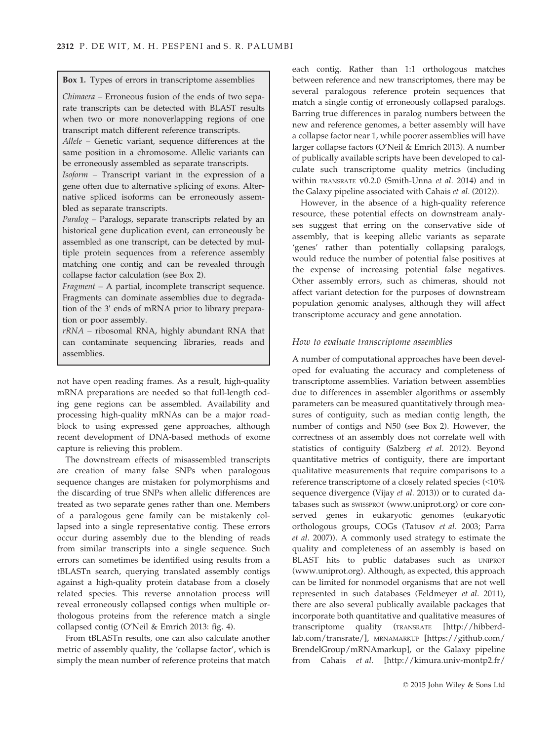#### Box 1. Types of errors in transcriptome assemblies

Chimaera – Erroneous fusion of the ends of two separate transcripts can be detected with BLAST results when two or more nonoverlapping regions of one transcript match different reference transcripts.

Allele – Genetic variant, sequence differences at the same position in a chromosome. Allelic variants can be erroneously assembled as separate transcripts.

Isoform – Transcript variant in the expression of a gene often due to alternative splicing of exons. Alternative spliced isoforms can be erroneously assembled as separate transcripts.

Paralog – Paralogs, separate transcripts related by an historical gene duplication event, can erroneously be assembled as one transcript, can be detected by multiple protein sequences from a reference assembly matching one contig and can be revealed through collapse factor calculation (see Box 2).

Fragment – A partial, incomplete transcript sequence. Fragments can dominate assemblies due to degradation of the 3' ends of mRNA prior to library preparation or poor assembly.

 $rRNA$  – ribosomal RNA, highly abundant RNA that can contaminate sequencing libraries, reads and assemblies.

not have open reading frames. As a result, high-quality mRNA preparations are needed so that full-length coding gene regions can be assembled. Availability and processing high-quality mRNAs can be a major roadblock to using expressed gene approaches, although recent development of DNA-based methods of exome capture is relieving this problem.

The downstream effects of misassembled transcripts are creation of many false SNPs when paralogous sequence changes are mistaken for polymorphisms and the discarding of true SNPs when allelic differences are treated as two separate genes rather than one. Members of a paralogous gene family can be mistakenly collapsed into a single representative contig. These errors occur during assembly due to the blending of reads from similar transcripts into a single sequence. Such errors can sometimes be identified using results from a tBLASTn search, querying translated assembly contigs against a high-quality protein database from a closely related species. This reverse annotation process will reveal erroneously collapsed contigs when multiple orthologous proteins from the reference match a single collapsed contig (O'Neil & Emrich 2013: fig. 4).

From tBLASTn results, one can also calculate another metric of assembly quality, the 'collapse factor', which is simply the mean number of reference proteins that match

each contig. Rather than 1:1 orthologous matches between reference and new transcriptomes, there may be several paralogous reference protein sequences that match a single contig of erroneously collapsed paralogs. Barring true differences in paralog numbers between the new and reference genomes, a better assembly will have a collapse factor near 1, while poorer assemblies will have larger collapse factors (O'Neil & Emrich 2013). A number of publically available scripts have been developed to calculate such transcriptome quality metrics (including within TRANSRATE v0.2.0 (Smith-Unna et al. 2014) and in the Galaxy pipeline associated with Cahais et al. (2012)).

However, in the absence of a high-quality reference resource, these potential effects on downstream analyses suggest that erring on the conservative side of assembly, that is keeping allelic variants as separate 'genes' rather than potentially collapsing paralogs, would reduce the number of potential false positives at the expense of increasing potential false negatives. Other assembly errors, such as chimeras, should not affect variant detection for the purposes of downstream population genomic analyses, although they will affect transcriptome accuracy and gene annotation.

#### How to evaluate transcriptome assemblies

A number of computational approaches have been developed for evaluating the accuracy and completeness of transcriptome assemblies. Variation between assemblies due to differences in assembler algorithms or assembly parameters can be measured quantitatively through measures of contiguity, such as median contig length, the number of contigs and N50 (see Box 2). However, the correctness of an assembly does not correlate well with statistics of contiguity (Salzberg et al. 2012). Beyond quantitative metrics of contiguity, there are important qualitative measurements that require comparisons to a reference transcriptome of a closely related species (<10% sequence divergence (Vijay et al. 2013)) or to curated databases such as SWISSPROT ([www.uniprot.org\)](http://www.uniprot.org) or core conserved genes in eukaryotic genomes (eukaryotic orthologous groups, COGs (Tatusov et al. 2003; Parra et al. 2007)). A commonly used strategy to estimate the quality and completeness of an assembly is based on BLAST hits to public databases such as UNIPROT [\(www.uniprot.org](http://www.uniprot.org)). Although, as expected, this approach can be limited for nonmodel organisms that are not well represented in such databases (Feldmeyer et al. 2011), there are also several publically available packages that incorporate both quantitative and qualitative measures of transcriptome quality (TRANSRATE [[http://hibberd](http://hibberdlab.com/transrate/)[lab.com/transrate/](http://hibberdlab.com/transrate/)], MRNAMARKUP [[https://github.com/](https://github.com/BrendelGroup/mRNAmarkup) [BrendelGroup/mRNAmarkup\]](https://github.com/BrendelGroup/mRNAmarkup), or the Galaxy pipeline from Cahais et al. [\[http://kimura.univ-montp2.fr/](http://kimura.univ-montp2.fr/PopPhyl/resources/datasets/popphyl-galaxy.tar.gz)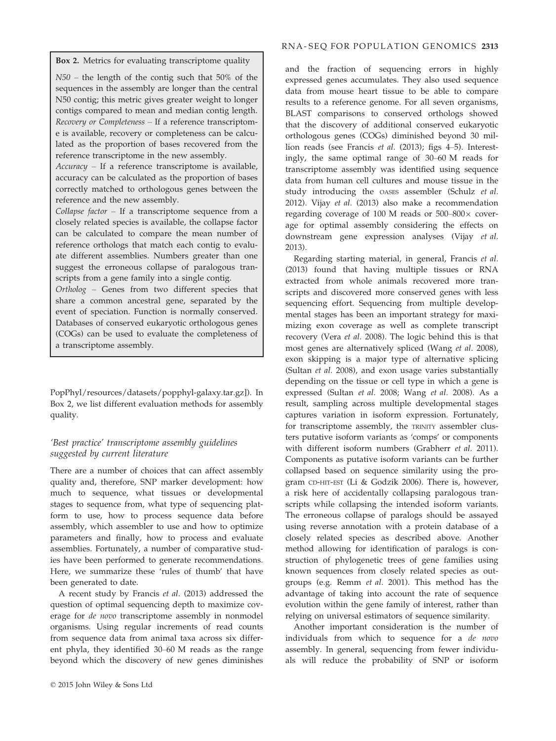## RNA- SEQ FOR POPULATION GENOMICS 2313

Box 2. Metrics for evaluating transcriptome quality

N50 – the length of the contig such that 50% of the sequences in the assembly are longer than the central N50 contig; this metric gives greater weight to longer contigs compared to mean and median contig length. Recovery or Completeness – If a reference transcriptome is available, recovery or completeness can be calculated as the proportion of bases recovered from the reference transcriptome in the new assembly.

Accuracy – If a reference transcriptome is available, accuracy can be calculated as the proportion of bases correctly matched to orthologous genes between the reference and the new assembly.

Collapse factor – If a transcriptome sequence from a closely related species is available, the collapse factor can be calculated to compare the mean number of reference orthologs that match each contig to evaluate different assemblies. Numbers greater than one suggest the erroneous collapse of paralogous transcripts from a gene family into a single contig.

Ortholog – Genes from two different species that share a common ancestral gene, separated by the event of speciation. Function is normally conserved. Databases of conserved eukaryotic orthologous genes (COGs) can be used to evaluate the completeness of a transcriptome assembly.

[PopPhyl/resources/datasets/popphyl-galaxy.tar.gz\]](http://kimura.univ-montp2.fr/PopPhyl/resources/datasets/popphyl-galaxy.tar.gz)). In Box 2, we list different evaluation methods for assembly quality.

# 'Best practice' transcriptome assembly guidelines suggested by current literature

There are a number of choices that can affect assembly quality and, therefore, SNP marker development: how much to sequence, what tissues or developmental stages to sequence from, what type of sequencing platform to use, how to process sequence data before assembly, which assembler to use and how to optimize parameters and finally, how to process and evaluate assemblies. Fortunately, a number of comparative studies have been performed to generate recommendations. Here, we summarize these 'rules of thumb' that have been generated to date.

A recent study by Francis et al. (2013) addressed the question of optimal sequencing depth to maximize coverage for de novo transcriptome assembly in nonmodel organisms. Using regular increments of read counts from sequence data from animal taxa across six different phyla, they identified 30–60 M reads as the range beyond which the discovery of new genes diminishes and the fraction of sequencing errors in highly expressed genes accumulates. They also used sequence data from mouse heart tissue to be able to compare results to a reference genome. For all seven organisms, BLAST comparisons to conserved orthologs showed that the discovery of additional conserved eukaryotic orthologous genes (COGs) diminished beyond 30 million reads (see Francis et al. (2013); figs 4–5). Interestingly, the same optimal range of 30–60 M reads for transcriptome assembly was identified using sequence data from human cell cultures and mouse tissue in the study introducing the OASES assembler (Schulz et al. 2012). Vijay et al. (2013) also make a recommendation regarding coverage of 100 M reads or  $500-800\times$  coverage for optimal assembly considering the effects on downstream gene expression analyses (Vijay et al. 2013).

Regarding starting material, in general, Francis et al. (2013) found that having multiple tissues or RNA extracted from whole animals recovered more transcripts and discovered more conserved genes with less sequencing effort. Sequencing from multiple developmental stages has been an important strategy for maximizing exon coverage as well as complete transcript recovery (Vera et al. 2008). The logic behind this is that most genes are alternatively spliced (Wang et al. 2008), exon skipping is a major type of alternative splicing (Sultan et al. 2008), and exon usage varies substantially depending on the tissue or cell type in which a gene is expressed (Sultan et al. 2008; Wang et al. 2008). As a result, sampling across multiple developmental stages captures variation in isoform expression. Fortunately, for transcriptome assembly, the TRINITY assembler clusters putative isoform variants as 'comps' or components with different isoform numbers (Grabherr et al. 2011). Components as putative isoform variants can be further collapsed based on sequence similarity using the program CD-HIT-EST (Li & Godzik 2006). There is, however, a risk here of accidentally collapsing paralogous transcripts while collapsing the intended isoform variants. The erroneous collapse of paralogs should be assayed using reverse annotation with a protein database of a closely related species as described above. Another method allowing for identification of paralogs is construction of phylogenetic trees of gene families using known sequences from closely related species as outgroups (e.g. Remm et al. 2001). This method has the advantage of taking into account the rate of sequence evolution within the gene family of interest, rather than relying on universal estimators of sequence similarity.

Another important consideration is the number of individuals from which to sequence for a de novo assembly. In general, sequencing from fewer individuals will reduce the probability of SNP or isoform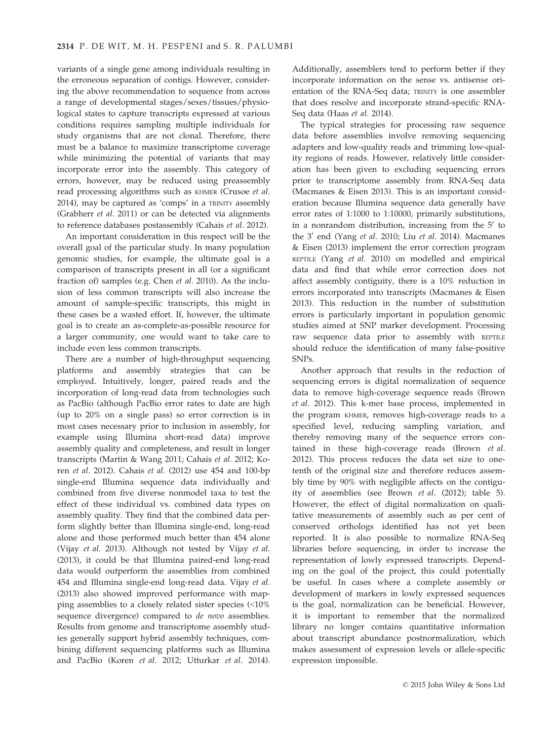variants of a single gene among individuals resulting in the erroneous separation of contigs. However, considering the above recommendation to sequence from across a range of developmental stages/sexes/tissues/physiological states to capture transcripts expressed at various conditions requires sampling multiple individuals for study organisms that are not clonal. Therefore, there must be a balance to maximize transcriptome coverage while minimizing the potential of variants that may incorporate error into the assembly. This category of errors, however, may be reduced using preassembly read processing algorithms such as KHMER (Crusoe et al. 2014), may be captured as 'comps' in a TRINITY assembly (Grabherr et al. 2011) or can be detected via alignments to reference databases postassembly (Cahais et al. 2012).

An important consideration in this respect will be the overall goal of the particular study. In many population genomic studies, for example, the ultimate goal is a comparison of transcripts present in all (or a significant fraction of) samples (e.g. Chen et al. 2010). As the inclusion of less common transcripts will also increase the amount of sample-specific transcripts, this might in these cases be a wasted effort. If, however, the ultimate goal is to create an as-complete-as-possible resource for a larger community, one would want to take care to include even less common transcripts.

There are a number of high-throughput sequencing platforms and assembly strategies that can be employed. Intuitively, longer, paired reads and the incorporation of long-read data from technologies such as PacBio (although PacBio error rates to date are high (up to 20% on a single pass) so error correction is in most cases necessary prior to inclusion in assembly, for example using Illumina short-read data) improve assembly quality and completeness, and result in longer transcripts (Martin & Wang 2011; Cahais et al. 2012; Koren et al. 2012). Cahais et al. (2012) use 454 and 100-bp single-end Illumina sequence data individually and combined from five diverse nonmodel taxa to test the effect of these individual vs. combined data types on assembly quality. They find that the combined data perform slightly better than Illumina single-end, long-read alone and those performed much better than 454 alone (Vijay et al. 2013). Although not tested by Vijay et al. (2013), it could be that Illumina paired-end long-read data would outperform the assemblies from combined 454 and Illumina single-end long-read data. Vijay et al. (2013) also showed improved performance with mapping assemblies to a closely related sister species (<10% sequence divergence) compared to de novo assemblies. Results from genome and transcriptome assembly studies generally support hybrid assembly techniques, combining different sequencing platforms such as Illumina and PacBio (Koren et al. 2012; Utturkar et al. 2014).

Additionally, assemblers tend to perform better if they incorporate information on the sense vs. antisense orientation of the RNA-Seq data; TRINITY is one assembler that does resolve and incorporate strand-specific RNA-Seq data (Haas et al. 2014).

The typical strategies for processing raw sequence data before assemblies involve removing sequencing adapters and low-quality reads and trimming low-quality regions of reads. However, relatively little consideration has been given to excluding sequencing errors prior to transcriptome assembly from RNA-Seq data (Macmanes & Eisen 2013). This is an important consideration because Illumina sequence data generally have error rates of 1:1000 to 1:10000, primarily substitutions, in a nonrandom distribution, increasing from the  $5'$  to the 3' end (Yang et al. 2010; Liu et al. 2014). Macmanes & Eisen (2013) implement the error correction program REPTILE (Yang et al. 2010) on modelled and empirical data and find that while error correction does not affect assembly contiguity, there is a 10% reduction in errors incorporated into transcripts (Macmanes & Eisen 2013). This reduction in the number of substitution errors is particularly important in population genomic studies aimed at SNP marker development. Processing raw sequence data prior to assembly with REPTILE should reduce the identification of many false-positive SNPs.

Another approach that results in the reduction of sequencing errors is digital normalization of sequence data to remove high-coverage sequence reads (Brown et al. 2012). This k-mer base process, implemented in the program KHMER, removes high-coverage reads to a specified level, reducing sampling variation, and thereby removing many of the sequence errors contained in these high-coverage reads (Brown et al. 2012). This process reduces the data set size to onetenth of the original size and therefore reduces assembly time by 90% with negligible affects on the contiguity of assemblies (see Brown et al. (2012); table 5). However, the effect of digital normalization on qualitative measurements of assembly such as per cent of conserved orthologs identified has not yet been reported. It is also possible to normalize RNA-Seq libraries before sequencing, in order to increase the representation of lowly expressed transcripts. Depending on the goal of the project, this could potentially be useful. In cases where a complete assembly or development of markers in lowly expressed sequences is the goal, normalization can be beneficial. However, it is important to remember that the normalized library no longer contains quantitative information about transcript abundance postnormalization, which makes assessment of expression levels or allele-specific expression impossible.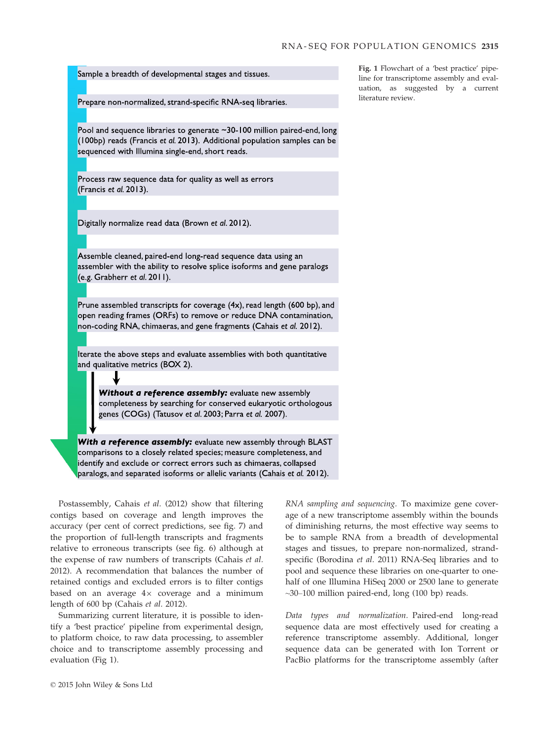Sample a breadth of developmental stages and tissues.

Prepare non-normalized, strand-specific RNA-seq libraries.

Pool and sequence libraries to generate  $\sim$ 30-100 million paired-end, long (100bp) reads (Francis et al. 2013). Additional population samples can be sequenced with Illumina single-end, short reads.

Process raw sequence data for quality as well as errors (Francis et al. 2013).

Digitally normalize read data (Brown et al. 2012).

Assemble cleaned, paired-end long-read sequence data using an assembler with the ability to resolve splice isoforms and gene paralogs (e.g. Grabherr et al. 2011).

Prune assembled transcripts for coverage (4x), read length (600 bp), and open reading frames (ORFs) to remove or reduce DNA contamination, non-coding RNA, chimaeras, and gene fragments (Cahais et al. 2012).

Iterate the above steps and evaluate assemblies with both quantitative and qualitative metrics (BOX 2).

**Without a reference assembly:** evaluate new assembly<br>completeness by searching for conserved eukaryotic orthologous genes (COGs) (Tatusov et al. 2003; Parra et al. 2007).

With a reference assembly: evaluate new assembly through BLAST comparisons to a closely related species; measure completeness, and identify and exclude or correct errors such as chimaeras, collapsed paralogs, and separated isoforms or allelic variants (Cahais et al. 2012).

Postassembly, Cahais et al. (2012) show that filtering contigs based on coverage and length improves the accuracy (per cent of correct predictions, see fig. 7) and the proportion of full-length transcripts and fragments relative to erroneous transcripts (see fig. 6) although at the expense of raw numbers of transcripts (Cahais et al. 2012). A recommendation that balances the number of retained contigs and excluded errors is to filter contigs based on an average  $4\times$  coverage and a minimum length of 600 bp (Cahais et al. 2012).

Summarizing current literature, it is possible to identify a 'best practice' pipeline from experimental design, to platform choice, to raw data processing, to assembler choice and to transcriptome assembly processing and evaluation (Fig 1).

RNA sampling and sequencing. To maximize gene coverage of a new transcriptome assembly within the bounds of diminishing returns, the most effective way seems to be to sample RNA from a breadth of developmental stages and tissues, to prepare non-normalized, strandspecific (Borodina et al. 2011) RNA-Seq libraries and to pool and sequence these libraries on one-quarter to onehalf of one Illumina HiSeq 2000 or 2500 lane to generate ~30–100 million paired-end, long (100 bp) reads.

Data types and normalization. Paired-end long-read sequence data are most effectively used for creating a reference transcriptome assembly. Additional, longer sequence data can be generated with Ion Torrent or PacBio platforms for the transcriptome assembly (after

Fig. 1 Flowchart of a 'best practice' pipeline for transcriptome assembly and evaluation, as suggested by a current literature review.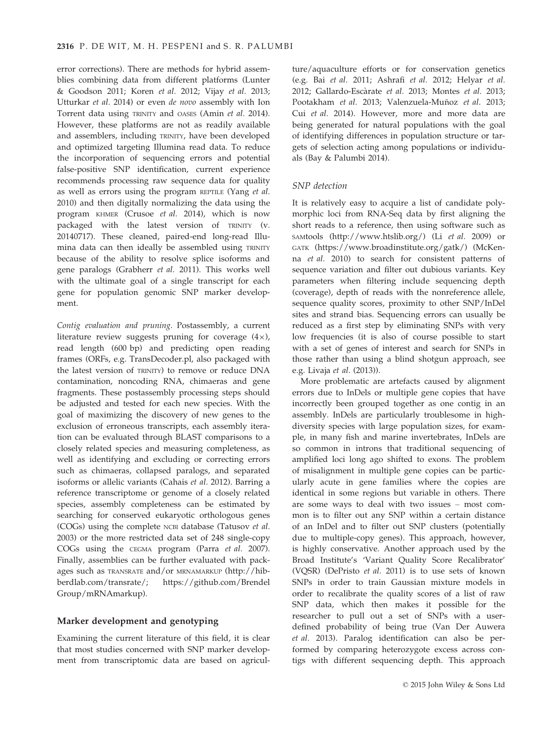error corrections). There are methods for hybrid assemblies combining data from different platforms (Lunter & Goodson 2011; Koren et al. 2012; Vijay et al. 2013; Utturkar et al. 2014) or even de novo assembly with Ion Torrent data using TRINITY and OASES (Amin et al. 2014). However, these platforms are not as readily available and assemblers, including TRINITY, have been developed and optimized targeting Illumina read data. To reduce the incorporation of sequencing errors and potential false-positive SNP identification, current experience recommends processing raw sequence data for quality as well as errors using the program REPTILE (Yang et al. 2010) and then digitally normalizing the data using the program KHMER (Crusoe et al. 2014), which is now packaged with the latest version of TRINITY (v. 20140717). These cleaned, paired-end long-read Illumina data can then ideally be assembled using TRINITY because of the ability to resolve splice isoforms and gene paralogs (Grabherr et al. 2011). This works well with the ultimate goal of a single transcript for each gene for population genomic SNP marker development.

Contig evaluation and pruning. Postassembly, a current literature review suggests pruning for coverage  $(4\times)$ , read length (600 bp) and predicting open reading frames (ORFs, e.g. TransDecoder.pl, also packaged with the latest version of TRINITY) to remove or reduce DNA contamination, noncoding RNA, chimaeras and gene fragments. These postassembly processing steps should be adjusted and tested for each new species. With the goal of maximizing the discovery of new genes to the exclusion of erroneous transcripts, each assembly iteration can be evaluated through BLAST comparisons to a closely related species and measuring completeness, as well as identifying and excluding or correcting errors such as chimaeras, collapsed paralogs, and separated isoforms or allelic variants (Cahais et al. 2012). Barring a reference transcriptome or genome of a closely related species, assembly completeness can be estimated by searching for conserved eukaryotic orthologous genes (COGs) using the complete NCBI database (Tatusov et al. 2003) or the more restricted data set of 248 single-copy COGs using the CEGMA program (Parra et al. 2007). Finally, assemblies can be further evaluated with packages such as TRANSRATE and/or MRNAMARKUP [\(http://hib](http://hibberdlab.com/transrate/)[berdlab.com/transrate/;](http://hibberdlab.com/transrate/) [https://github.com/Brendel](https://github.com/BrendelGroup/mRNAmarkup) [Group/mRNAmarkup\)](https://github.com/BrendelGroup/mRNAmarkup).

## Marker development and genotyping

Examining the current literature of this field, it is clear that most studies concerned with SNP marker development from transcriptomic data are based on agricul-

ture/aquaculture efforts or for conservation genetics (e.g. Bai et al. 2011; Ashrafi et al. 2012; Helyar et al. 2012; Gallardo-Escarate et al. 2013; Montes et al. 2013; Pootakham et al. 2013; Valenzuela-Muñoz et al. 2013; Cui et al. 2014). However, more and more data are being generated for natural populations with the goal of identifying differences in population structure or targets of selection acting among populations or individuals (Bay & Palumbi 2014).

# SNP detection

It is relatively easy to acquire a list of candidate polymorphic loci from RNA-Seq data by first aligning the short reads to a reference, then using software such as SAMtools (<http://www.htslib.org/>) (Li et al. 2009) or GATK [\(https://www.broadinstitute.org/gatk/\)](https://www.broadinstitute.org/gatk/) (McKenna et al. 2010) to search for consistent patterns of sequence variation and filter out dubious variants. Key parameters when filtering include sequencing depth (coverage), depth of reads with the nonreference allele, sequence quality scores, proximity to other SNP/InDel sites and strand bias. Sequencing errors can usually be reduced as a first step by eliminating SNPs with very low frequencies (it is also of course possible to start with a set of genes of interest and search for SNPs in those rather than using a blind shotgun approach, see e.g. Livaja et al. (2013)).

More problematic are artefacts caused by alignment errors due to InDels or multiple gene copies that have incorrectly been grouped together as one contig in an assembly. InDels are particularly troublesome in highdiversity species with large population sizes, for example, in many fish and marine invertebrates, InDels are so common in introns that traditional sequencing of amplified loci long ago shifted to exons. The problem of misalignment in multiple gene copies can be particularly acute in gene families where the copies are identical in some regions but variable in others. There are some ways to deal with two issues – most common is to filter out any SNP within a certain distance of an InDel and to filter out SNP clusters (potentially due to multiple-copy genes). This approach, however, is highly conservative. Another approach used by the Broad Institute's 'Variant Quality Score Recalibrator' (VQSR) (DePristo et al. 2011) is to use sets of known SNPs in order to train Gaussian mixture models in order to recalibrate the quality scores of a list of raw SNP data, which then makes it possible for the researcher to pull out a set of SNPs with a userdefined probability of being true (Van Der Auwera et al. 2013). Paralog identification can also be performed by comparing heterozygote excess across contigs with different sequencing depth. This approach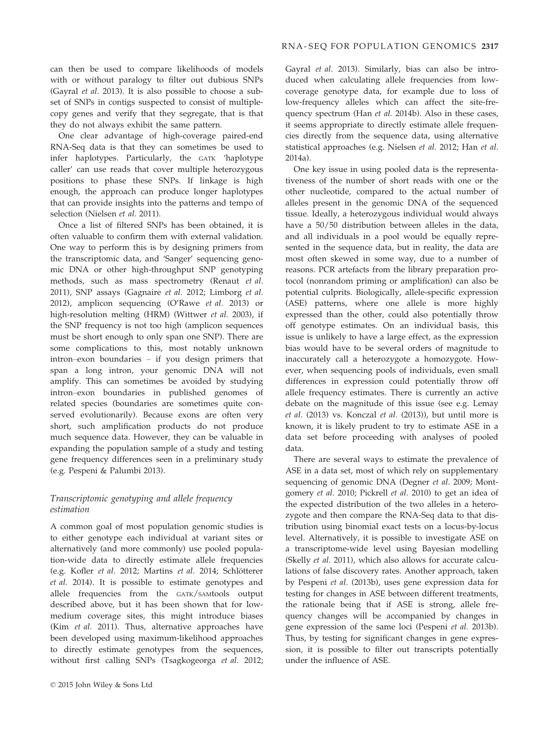can then be used to compare likelihoods of models with or without paralogy to filter out dubious SNPs (Gayral et al. 2013). It is also possible to choose a subset of SNPs in contigs suspected to consist of multiplecopy genes and verify that they segregate, that is that they do not always exhibit the same pattern.

One clear advantage of high-coverage paired-end RNA-Seq data is that they can sometimes be used to infer haplotypes. Particularly, the GATK 'haplotype caller' can use reads that cover multiple heterozygous positions to phase these SNPs. If linkage is high enough, the approach can produce longer haplotypes that can provide insights into the patterns and tempo of selection (Nielsen et al. 2011).

Once a list of filtered SNPs has been obtained, it is often valuable to confirm them with external validation. One way to perform this is by designing primers from the transcriptomic data, and 'Sanger' sequencing genomic DNA or other high-throughput SNP genotyping methods, such as mass spectrometry (Renaut et al. 2011), SNP assays (Gagnaire et al. 2012; Limborg et al. 2012), amplicon sequencing (O'Rawe et al. 2013) or high-resolution melting (HRM) (Wittwer et al. 2003), if the SNP frequency is not too high (amplicon sequences must be short enough to only span one SNP). There are some complications to this, most notably unknown intron–exon boundaries – if you design primers that span a long intron, your genomic DNA will not amplify. This can sometimes be avoided by studying intron–exon boundaries in published genomes of related species (boundaries are sometimes quite conserved evolutionarily). Because exons are often very short, such amplification products do not produce much sequence data. However, they can be valuable in expanding the population sample of a study and testing gene frequency differences seen in a preliminary study (e.g. Pespeni & Palumbi 2013).

# Transcriptomic genotyping and allele frequency estimation

A common goal of most population genomic studies is to either genotype each individual at variant sites or alternatively (and more commonly) use pooled population-wide data to directly estimate allele frequencies (e.g. Kofler et al. 2012; Martins et al. 2014; Schlötterer et al. 2014). It is possible to estimate genotypes and allele frequencies from the GATK/SAMtools output described above, but it has been shown that for lowmedium coverage sites, this might introduce biases (Kim et al. 2011). Thus, alternative approaches have been developed using maximum-likelihood approaches to directly estimate genotypes from the sequences, without first calling SNPs (Tsagkogeorga et al. 2012; Gayral et al. 2013). Similarly, bias can also be introduced when calculating allele frequencies from lowcoverage genotype data, for example due to loss of low-frequency alleles which can affect the site-frequency spectrum (Han et al. 2014b). Also in these cases, it seems appropriate to directly estimate allele frequencies directly from the sequence data, using alternative statistical approaches (e.g. Nielsen et al. 2012; Han et al. 2014a).

One key issue in using pooled data is the representativeness of the number of short reads with one or the other nucleotide, compared to the actual number of alleles present in the genomic DNA of the sequenced tissue. Ideally, a heterozygous individual would always have a 50/50 distribution between alleles in the data, and all individuals in a pool would be equally represented in the sequence data, but in reality, the data are most often skewed in some way, due to a number of reasons. PCR artefacts from the library preparation protocol (nonrandom priming or amplification) can also be potential culprits. Biologically, allele-specific expression (ASE) patterns, where one allele is more highly expressed than the other, could also potentially throw off genotype estimates. On an individual basis, this issue is unlikely to have a large effect, as the expression bias would have to be several orders of magnitude to inaccurately call a heterozygote a homozygote. However, when sequencing pools of individuals, even small differences in expression could potentially throw off allele frequency estimates. There is currently an active debate on the magnitude of this issue (see e.g. Lemay et al. (2013) vs. Konczal et al. (2013)), but until more is known, it is likely prudent to try to estimate ASE in a data set before proceeding with analyses of pooled data.

There are several ways to estimate the prevalence of ASE in a data set, most of which rely on supplementary sequencing of genomic DNA (Degner et al. 2009; Montgomery et al. 2010; Pickrell et al. 2010) to get an idea of the expected distribution of the two alleles in a heterozygote and then compare the RNA-Seq data to that distribution using binomial exact tests on a locus-by-locus level. Alternatively, it is possible to investigate ASE on a transcriptome-wide level using Bayesian modelling (Skelly et al. 2011), which also allows for accurate calculations of false discovery rates. Another approach, taken by Pespeni et al. (2013b), uses gene expression data for testing for changes in ASE between different treatments, the rationale being that if ASE is strong, allele frequency changes will be accompanied by changes in gene expression of the same loci (Pespeni et al. 2013b). Thus, by testing for significant changes in gene expression, it is possible to filter out transcripts potentially under the influence of ASE.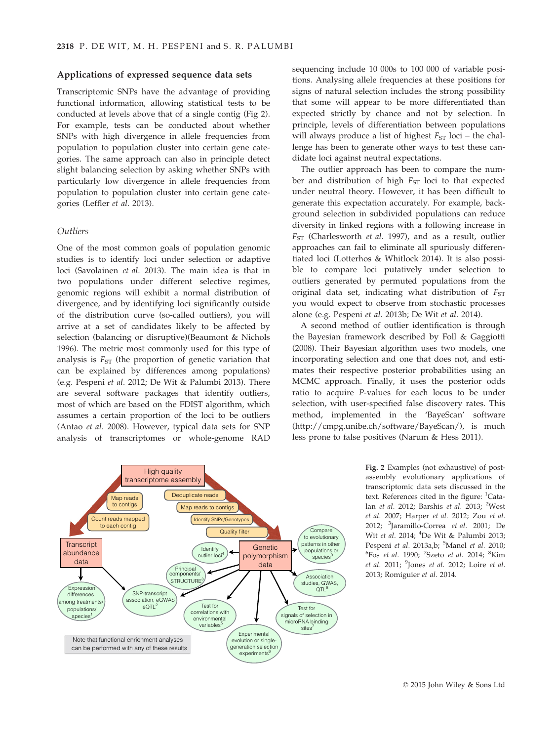## Applications of expressed sequence data sets

Transcriptomic SNPs have the advantage of providing functional information, allowing statistical tests to be conducted at levels above that of a single contig (Fig 2). For example, tests can be conducted about whether SNPs with high divergence in allele frequencies from population to population cluster into certain gene categories. The same approach can also in principle detect slight balancing selection by asking whether SNPs with particularly low divergence in allele frequencies from population to population cluster into certain gene categories (Leffler et al. 2013).

# Outliers

One of the most common goals of population genomic studies is to identify loci under selection or adaptive loci (Savolainen et al. 2013). The main idea is that in two populations under different selective regimes, genomic regions will exhibit a normal distribution of divergence, and by identifying loci significantly outside of the distribution curve (so-called outliers), you will arrive at a set of candidates likely to be affected by selection (balancing or disruptive)(Beaumont & Nichols 1996). The metric most commonly used for this type of analysis is  $F_{ST}$  (the proportion of genetic variation that can be explained by differences among populations) (e.g. Pespeni et al. 2012; De Wit & Palumbi 2013). There are several software packages that identify outliers, most of which are based on the FDIST algorithm, which assumes a certain proportion of the loci to be outliers (Antao et al. 2008). However, typical data sets for SNP analysis of transcriptomes or whole-genome RAD

High quality transcriptome assembly Map reads to contigs **Transcript** abundance data Count reads mapped to each contig Deduplicate reads Map reads to contigs Identify SNPs/Genotypes Quality filter **Expression** differences ong treatments populations/ species SNP-transcript association, eGWAS eQTI Identify outlier loci4 Principal components/ STRUCTURE<sup>5</sup> Test for correlations with environmental variables<sup>5</sup> Compare to evolutionary patterns in othe populations or species **Experimental** evolution or singlegeneration sele experiments<sup>6</sup> Association studies, GWAS,  $QTL<sup>8</sup>$ Test for signals of selection in microRNA binding sites<sup>7</sup> Note that functional enrichment analyses can be performed with any of these results **Genetic** polymorphism data

sequencing include 10 000s to 100 000 of variable positions. Analysing allele frequencies at these positions for signs of natural selection includes the strong possibility that some will appear to be more differentiated than expected strictly by chance and not by selection. In principle, levels of differentiation between populations will always produce a list of highest  $F_{ST}$  loci – the challenge has been to generate other ways to test these candidate loci against neutral expectations.

The outlier approach has been to compare the number and distribution of high  $F_{ST}$  loci to that expected under neutral theory. However, it has been difficult to generate this expectation accurately. For example, background selection in subdivided populations can reduce diversity in linked regions with a following increase in  $F_{ST}$  (Charlesworth *et al.* 1997), and as a result, outlier approaches can fail to eliminate all spuriously differentiated loci (Lotterhos & Whitlock 2014). It is also possible to compare loci putatively under selection to outliers generated by permuted populations from the original data set, indicating what distribution of  $F_{ST}$ you would expect to observe from stochastic processes alone (e.g. Pespeni et al. 2013b; De Wit et al. 2014).

A second method of outlier identification is through the Bayesian framework described by Foll & Gaggiotti (2008). Their Bayesian algorithm uses two models, one incorporating selection and one that does not, and estimates their respective posterior probabilities using an MCMC approach. Finally, it uses the posterior odds ratio to acquire P-values for each locus to be under selection, with user-specified false discovery rates. This method, implemented in the 'BayeScan' software [\(http://cmpg.unibe.ch/software/BayeScan/\)](http://cmpg.unibe.ch/software/BayeScan/), is much less prone to false positives (Narum & Hess 2011).

> Fig. 2 Examples (not exhaustive) of postassembly evolutionary applications of transcriptomic data sets discussed in the text. References cited in the figure: <sup>1</sup>Catalan et al. 2012; Barshis et al. 2013; <sup>2</sup>West et al. 2007; Harper et al. 2012; Zou et al. 2012; <sup>3</sup>Jaramillo-Correa et al. 2001; De Wit et al. 2014; <sup>4</sup>De Wit & Palumbi 2013; Pespeni et al. 2013a,b; <sup>5</sup>Manel et al. 2010; <sup>6</sup>Fos et al. 1990; <sup>7</sup>Szeto et al. 2014; <sup>8</sup>Kim et al. 2011; <sup>9</sup>Jones et al. 2012; Loire et al. 2013; Romiguier et al. 2014.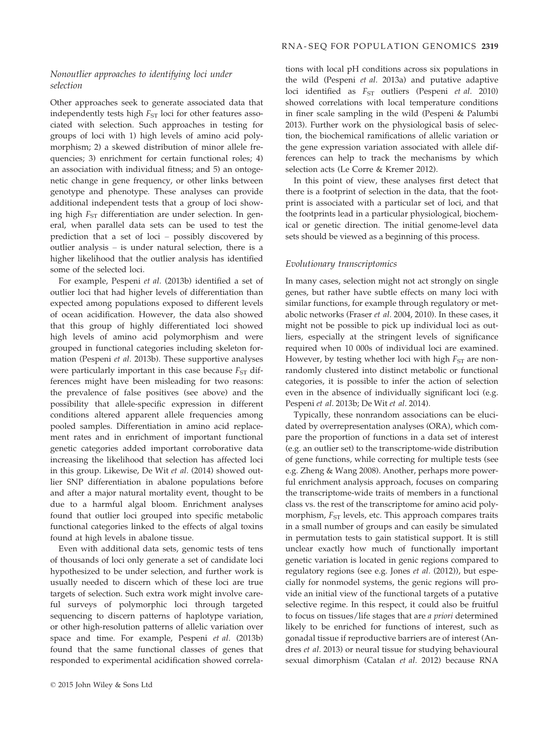# Nonoutlier approaches to identifying loci under selection

Other approaches seek to generate associated data that independently tests high  $F_{ST}$  loci for other features associated with selection. Such approaches in testing for groups of loci with 1) high levels of amino acid polymorphism; 2) a skewed distribution of minor allele frequencies; 3) enrichment for certain functional roles; 4) an association with individual fitness; and 5) an ontogenetic change in gene frequency, or other links between genotype and phenotype. These analyses can provide additional independent tests that a group of loci showing high  $F_{ST}$  differentiation are under selection. In general, when parallel data sets can be used to test the prediction that a set of loci – possibly discovered by outlier analysis – is under natural selection, there is a higher likelihood that the outlier analysis has identified some of the selected loci.

For example, Pespeni et al. (2013b) identified a set of outlier loci that had higher levels of differentiation than expected among populations exposed to different levels of ocean acidification. However, the data also showed that this group of highly differentiated loci showed high levels of amino acid polymorphism and were grouped in functional categories including skeleton formation (Pespeni et al. 2013b). These supportive analyses were particularly important in this case because  $F_{ST}$  differences might have been misleading for two reasons: the prevalence of false positives (see above) and the possibility that allele-specific expression in different conditions altered apparent allele frequencies among pooled samples. Differentiation in amino acid replacement rates and in enrichment of important functional genetic categories added important corroborative data increasing the likelihood that selection has affected loci in this group. Likewise, De Wit et al. (2014) showed outlier SNP differentiation in abalone populations before and after a major natural mortality event, thought to be due to a harmful algal bloom. Enrichment analyses found that outlier loci grouped into specific metabolic functional categories linked to the effects of algal toxins found at high levels in abalone tissue.

Even with additional data sets, genomic tests of tens of thousands of loci only generate a set of candidate loci hypothesized to be under selection, and further work is usually needed to discern which of these loci are true targets of selection. Such extra work might involve careful surveys of polymorphic loci through targeted sequencing to discern patterns of haplotype variation, or other high-resolution patterns of allelic variation over space and time. For example, Pespeni et al. (2013b) found that the same functional classes of genes that responded to experimental acidification showed correlations with local pH conditions across six populations in the wild (Pespeni et al. 2013a) and putative adaptive loci identified as  $F_{ST}$  outliers (Pespeni *et al.* 2010) showed correlations with local temperature conditions in finer scale sampling in the wild (Pespeni & Palumbi 2013). Further work on the physiological basis of selection, the biochemical ramifications of allelic variation or the gene expression variation associated with allele differences can help to track the mechanisms by which selection acts (Le Corre & Kremer 2012).

In this point of view, these analyses first detect that there is a footprint of selection in the data, that the footprint is associated with a particular set of loci, and that the footprints lead in a particular physiological, biochemical or genetic direction. The initial genome-level data sets should be viewed as a beginning of this process.

## Evolutionary transcriptomics

In many cases, selection might not act strongly on single genes, but rather have subtle effects on many loci with similar functions, for example through regulatory or metabolic networks (Fraser et al. 2004, 2010). In these cases, it might not be possible to pick up individual loci as outliers, especially at the stringent levels of significance required when 10 000s of individual loci are examined. However, by testing whether loci with high  $F_{ST}$  are nonrandomly clustered into distinct metabolic or functional categories, it is possible to infer the action of selection even in the absence of individually significant loci (e.g. Pespeni et al. 2013b; De Wit et al. 2014).

Typically, these nonrandom associations can be elucidated by overrepresentation analyses (ORA), which compare the proportion of functions in a data set of interest (e.g. an outlier set) to the transcriptome-wide distribution of gene functions, while correcting for multiple tests (see e.g. Zheng & Wang 2008). Another, perhaps more powerful enrichment analysis approach, focuses on comparing the transcriptome-wide traits of members in a functional class vs. the rest of the transcriptome for amino acid polymorphism,  $F_{ST}$  levels, etc. This approach compares traits in a small number of groups and can easily be simulated in permutation tests to gain statistical support. It is still unclear exactly how much of functionally important genetic variation is located in genic regions compared to regulatory regions (see e.g. Jones et al. (2012)), but especially for nonmodel systems, the genic regions will provide an initial view of the functional targets of a putative selective regime. In this respect, it could also be fruitful to focus on tissues/life stages that are a priori determined likely to be enriched for functions of interest, such as gonadal tissue if reproductive barriers are of interest (Andres et al. 2013) or neural tissue for studying behavioural sexual dimorphism (Catalan et al. 2012) because RNA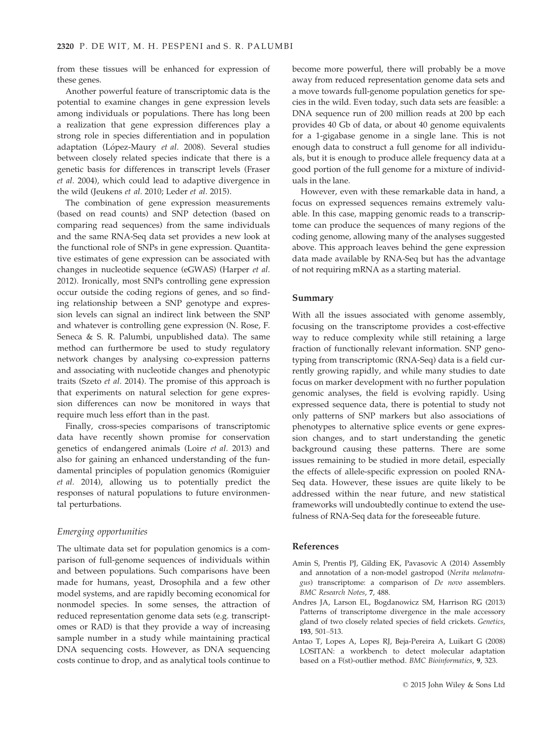from these tissues will be enhanced for expression of these genes.

Another powerful feature of transcriptomic data is the potential to examine changes in gene expression levels among individuals or populations. There has long been a realization that gene expression differences play a strong role in species differentiation and in population adaptation (López-Maury et al. 2008). Several studies between closely related species indicate that there is a genetic basis for differences in transcript levels (Fraser et al. 2004), which could lead to adaptive divergence in the wild (Jeukens et al. 2010; Leder et al. 2015).

The combination of gene expression measurements (based on read counts) and SNP detection (based on comparing read sequences) from the same individuals and the same RNA-Seq data set provides a new look at the functional role of SNPs in gene expression. Quantitative estimates of gene expression can be associated with changes in nucleotide sequence (eGWAS) (Harper et al. 2012). Ironically, most SNPs controlling gene expression occur outside the coding regions of genes, and so finding relationship between a SNP genotype and expression levels can signal an indirect link between the SNP and whatever is controlling gene expression (N. Rose, F. Seneca & S. R. Palumbi, unpublished data). The same method can furthermore be used to study regulatory network changes by analysing co-expression patterns and associating with nucleotide changes and phenotypic traits (Szeto et al. 2014). The promise of this approach is that experiments on natural selection for gene expression differences can now be monitored in ways that require much less effort than in the past.

Finally, cross-species comparisons of transcriptomic data have recently shown promise for conservation genetics of endangered animals (Loire et al. 2013) and also for gaining an enhanced understanding of the fundamental principles of population genomics (Romiguier et al. 2014), allowing us to potentially predict the responses of natural populations to future environmental perturbations.

#### Emerging opportunities

The ultimate data set for population genomics is a comparison of full-genome sequences of individuals within and between populations. Such comparisons have been made for humans, yeast, Drosophila and a few other model systems, and are rapidly becoming economical for nonmodel species. In some senses, the attraction of reduced representation genome data sets (e.g. transcriptomes or RAD) is that they provide a way of increasing sample number in a study while maintaining practical DNA sequencing costs. However, as DNA sequencing costs continue to drop, and as analytical tools continue to

become more powerful, there will probably be a move away from reduced representation genome data sets and a move towards full-genome population genetics for species in the wild. Even today, such data sets are feasible: a DNA sequence run of 200 million reads at 200 bp each provides 40 Gb of data, or about 40 genome equivalents for a 1-gigabase genome in a single lane. This is not enough data to construct a full genome for all individuals, but it is enough to produce allele frequency data at a good portion of the full genome for a mixture of individuals in the lane.

However, even with these remarkable data in hand, a focus on expressed sequences remains extremely valuable. In this case, mapping genomic reads to a transcriptome can produce the sequences of many regions of the coding genome, allowing many of the analyses suggested above. This approach leaves behind the gene expression data made available by RNA-Seq but has the advantage of not requiring mRNA as a starting material.

# Summary

With all the issues associated with genome assembly, focusing on the transcriptome provides a cost-effective way to reduce complexity while still retaining a large fraction of functionally relevant information. SNP genotyping from transcriptomic (RNA-Seq) data is a field currently growing rapidly, and while many studies to date focus on marker development with no further population genomic analyses, the field is evolving rapidly. Using expressed sequence data, there is potential to study not only patterns of SNP markers but also associations of phenotypes to alternative splice events or gene expression changes, and to start understanding the genetic background causing these patterns. There are some issues remaining to be studied in more detail, especially the effects of allele-specific expression on pooled RNA-Seq data. However, these issues are quite likely to be addressed within the near future, and new statistical frameworks will undoubtedly continue to extend the usefulness of RNA-Seq data for the foreseeable future.

## References

- Amin S, Prentis PJ, Gilding EK, Pavasovic A (2014) Assembly and annotation of a non-model gastropod (Nerita melanotragus) transcriptome: a comparison of De novo assemblers. BMC Research Notes, 7, 488.
- Andres JA, Larson EL, Bogdanowicz SM, Harrison RG (2013) Patterns of transcriptome divergence in the male accessory gland of two closely related species of field crickets. Genetics, 193, 501–513.
- Antao T, Lopes A, Lopes RJ, Beja-Pereira A, Luikart G (2008) LOSITAN: a workbench to detect molecular adaptation based on a F(st)-outlier method. BMC Bioinformatics, 9, 323.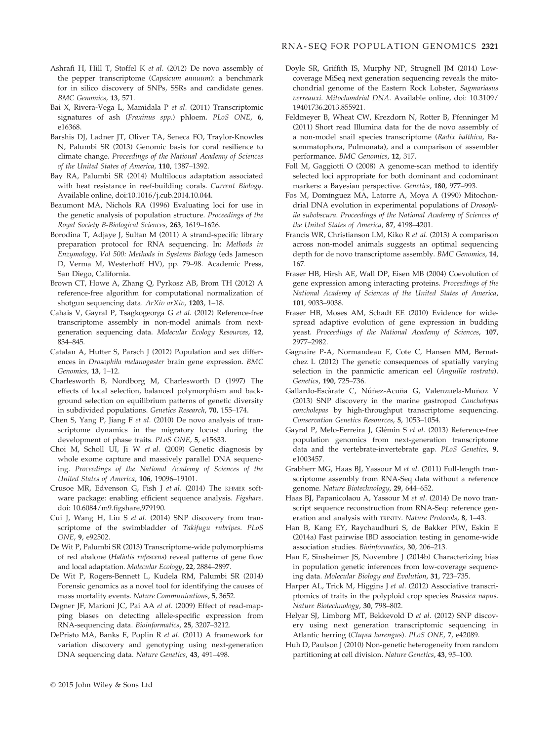- Ashrafi H, Hill T, Stoffel K et al. (2012) De novo assembly of the pepper transcriptome (Capsicum annuum): a benchmark for in silico discovery of SNPs, SSRs and candidate genes. BMC Genomics, 13, 571.
- Bai X, Rivera-Vega L, Mamidala P et al. (2011) Transcriptomic signatures of ash (Fraxinus spp.) phloem. PLoS ONE, 6, e16368.
- Barshis DJ, Ladner JT, Oliver TA, Seneca FO, Traylor-Knowles N, Palumbi SR (2013) Genomic basis for coral resilience to climate change. Proceedings of the National Academy of Sciences of the United States of America, 110, 1387–1392.
- Bay RA, Palumbi SR (2014) Multilocus adaptation associated with heat resistance in reef-building corals. Current Biology. Available online, doi[:10.1016/j.cub.2014.10.044](http://dx.doi.org/10.1016/j.cub.2014.10.044).
- Beaumont MA, Nichols RA (1996) Evaluating loci for use in the genetic analysis of population structure. Proceedings of the Royal Society B-Biological Sciences, 263, 1619–1626.
- Borodina T, Adjaye J, Sultan M (2011) A strand-specific library preparation protocol for RNA sequencing. In: Methods in Enzymology, Vol 500: Methods in Systems Biology (eds Jameson D, Verma M, Westerhoff HV), pp. 79–98. Academic Press, San Diego, California.
- Brown CT, Howe A, Zhang Q, Pyrkosz AB, Brom TH (2012) A reference-free algorithm for computational normalization of shotgun sequencing data. ArXiv arXiv, 1203, 1-18.
- Cahais V, Gayral P, Tsagkogeorga G et al. (2012) Reference-free transcriptome assembly in non-model animals from nextgeneration sequencing data. Molecular Ecology Resources, 12, 834–845.
- Catalan A, Hutter S, Parsch J (2012) Population and sex differences in Drosophila melanogaster brain gene expression. BMC Genomics, 13, 1–12.
- Charlesworth B, Nordborg M, Charlesworth D (1997) The effects of local selection, balanced polymorphism and background selection on equilibrium patterns of genetic diversity in subdivided populations. Genetics Research, 70, 155–174.
- Chen S, Yang P, Jiang F et al. (2010) De novo analysis of transcriptome dynamics in the migratory locust during the development of phase traits. PLoS ONE, 5, e15633.
- Choi M, Scholl UI, Ji W et al. (2009) Genetic diagnosis by whole exome capture and massively parallel DNA sequencing. Proceedings of the National Academy of Sciences of the United States of America, 106, 19096–19101.
- Crusoe MR, Edvenson G, Fish J et al. (2014) The KHMER software package: enabling efficient sequence analysis. Figshare. doi: [10.6084/m9.figshare,979190.](http://dx.doi.org/10.6084/m9.figshare,979190)
- Cui J, Wang H, Liu S et al. (2014) SNP discovery from transcriptome of the swimbladder of Takifugu rubripes. PLoS ONE, 9, e92502.
- De Wit P, Palumbi SR (2013) Transcriptome-wide polymorphisms of red abalone (Haliotis rufescens) reveal patterns of gene flow and local adaptation. Molecular Ecology, 22, 2884–2897.
- De Wit P, Rogers-Bennett L, Kudela RM, Palumbi SR (2014) Forensic genomics as a novel tool for identifying the causes of mass mortality events. Nature Communications, 5, 3652.
- Degner JF, Marioni JC, Pai AA et al. (2009) Effect of read-mapping biases on detecting allele-specific expression from RNA-sequencing data. Bioinformatics, 25, 3207–3212.
- DePristo MA, Banks E, Poplin R et al. (2011) A framework for variation discovery and genotyping using next-generation DNA sequencing data. Nature Genetics, 43, 491–498.
- Doyle SR, Griffith IS, Murphy NP, Strugnell JM (2014) Lowcoverage MiSeq next generation sequencing reveals the mitochondrial genome of the Eastern Rock Lobster, Sagmariasus verreauxi. Mitochondrial DNA. Available online, doi: [10.3109/](http://dx.doi.org/10.3109/19401736.2013.855921) [19401736.2013.855921](http://dx.doi.org/10.3109/19401736.2013.855921).
- Feldmeyer B, Wheat CW, Krezdorn N, Rotter B, Pfenninger M (2011) Short read Illumina data for the de novo assembly of a non-model snail species transcriptome (Radix balthica, Basommatophora, Pulmonata), and a comparison of assembler performance. BMC Genomics, 12, 317.
- Foll M, Gaggiotti O (2008) A genome-scan method to identify selected loci appropriate for both dominant and codominant markers: a Bayesian perspective. Genetics, 180, 977–993.
- Fos M, Domínguez MA, Latorre A, Moya A (1990) Mitochondrial DNA evolution in experimental populations of Drosophila subobscura. Proceedings of the National Academy of Sciences of the United States of America, 87, 4198–4201.
- Francis WR, Christianson LM, Kiko R et al. (2013) A comparison across non-model animals suggests an optimal sequencing depth for de novo transcriptome assembly. BMC Genomics, 14, 167.
- Fraser HB, Hirsh AE, Wall DP, Eisen MB (2004) Coevolution of gene expression among interacting proteins. Proceedings of the National Academy of Sciences of the United States of America, 101, 9033–9038.
- Fraser HB, Moses AM, Schadt EE (2010) Evidence for widespread adaptive evolution of gene expression in budding yeast. Proceedings of the National Academy of Sciences, 107, 2977–2982.
- Gagnaire P-A, Normandeau E, Cote C, Hansen MM, Bernatchez L (2012) The genetic consequences of spatially varying selection in the panmictic american eel (Anguilla rostrata). Genetics, 190, 725–736.
- Gallardo-Escàrate C, Núñez-Acuña G, Valenzuela-Muñoz V (2013) SNP discovery in the marine gastropod Concholepas concholepas by high-throughput transcriptome sequencing. Conservation Genetics Resources, 5, 1053–1054.
- Gayral P, Melo-Ferreira J, Glémin S et al. (2013) Reference-free population genomics from next-generation transcriptome data and the vertebrate-invertebrate gap. PLoS Genetics, 9, e1003457.
- Grabherr MG, Haas BJ, Yassour M et al. (2011) Full-length transcriptome assembly from RNA-Seq data without a reference genome. Nature Biotechnology, 29, 644–652.
- Haas BJ, Papanicolaou A, Yassour M et al. (2014) De novo transcript sequence reconstruction from RNA-Seq: reference generation and analysis with TRINITY. Nature Protocols, 8, 1–43.
- Han B, Kang EY, Raychaudhuri S, de Bakker PIW, Eskin E (2014a) Fast pairwise IBD association testing in genome-wide association studies. Bioinformatics, 30, 206–213.
- Han E, Sinsheimer JS, Novembre J (2014b) Characterizing bias in population genetic inferences from low-coverage sequencing data. Molecular Biology and Evolution, 31, 723–735.
- Harper AL, Trick M, Higgins J et al. (2012) Associative transcriptomics of traits in the polyploid crop species Brassica napus. Nature Biotechnology, 30, 798–802.
- Helyar SJ, Limborg MT, Bekkevold D et al. (2012) SNP discovery using next generation transcriptomic sequencing in Atlantic herring (Clupea harengus). PLoS ONE, 7, e42089.
- Huh D, Paulson J (2010) Non-genetic heterogeneity from random partitioning at cell division. Nature Genetics, 43, 95–100.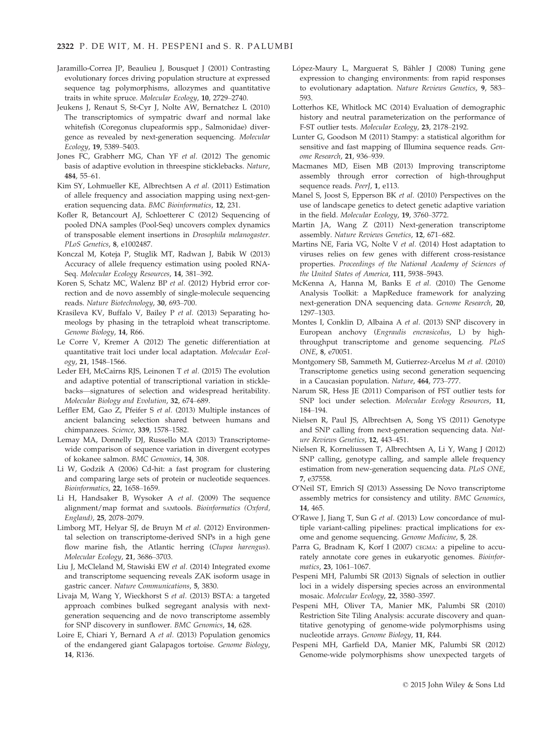- Jaramillo-Correa JP, Beaulieu J, Bousquet J (2001) Contrasting evolutionary forces driving population structure at expressed sequence tag polymorphisms, allozymes and quantitative traits in white spruce. Molecular Ecology, 10, 2729–2740.
- Jeukens J, Renaut S, St-Cyr J, Nolte AW, Bernatchez L (2010) The transcriptomics of sympatric dwarf and normal lake whitefish (Coregonus clupeaformis spp., Salmonidae) divergence as revealed by next-generation sequencing. Molecular Ecology, 19, 5389–5403.
- Jones FC, Grabherr MG, Chan YF et al. (2012) The genomic basis of adaptive evolution in threespine sticklebacks. Nature, 484, 55–61.
- Kim SY, Lohmueller KE, Albrechtsen A et al. (2011) Estimation of allele frequency and association mapping using next-generation sequencing data. BMC Bioinformatics, 12, 231.
- Kofler R, Betancourt AJ, Schloetterer C (2012) Sequencing of pooled DNA samples (Pool-Seq) uncovers complex dynamics of transposable element insertions in Drosophila melanogaster. PLoS Genetics, 8, e1002487.
- Konczal M, Koteja P, Stuglik MT, Radwan J, Babik W (2013) Accuracy of allele frequency estimation using pooled RNA-Seq. Molecular Ecology Resources, 14, 381–392.
- Koren S, Schatz MC, Walenz BP et al. (2012) Hybrid error correction and de novo assembly of single-molecule sequencing reads. Nature Biotechnology, 30, 693–700.
- Krasileva KV, Buffalo V, Bailey P et al. (2013) Separating homeologs by phasing in the tetraploid wheat transcriptome. Genome Biology, 14, R66.
- Le Corre V, Kremer A (2012) The genetic differentiation at quantitative trait loci under local adaptation. Molecular Ecology, 21, 1548–1566.
- Leder EH, McCairns RJS, Leinonen T et al. (2015) The evolution and adaptive potential of transcriptional variation in sticklebacks—signatures of selection and widespread heritability. Molecular Biology and Evolution, 32, 674–689.
- Leffler EM, Gao Z, Pfeifer S et al. (2013) Multiple instances of ancient balancing selection shared between humans and chimpanzees. Science, 339, 1578–1582.
- Lemay MA, Donnelly DJ, Russello MA (2013) Transcriptomewide comparison of sequence variation in divergent ecotypes of kokanee salmon. BMC Genomics, 14, 308.
- Li W, Godzik A (2006) Cd-hit: a fast program for clustering and comparing large sets of protein or nucleotide sequences. Bioinformatics, 22, 1658–1659.
- Li H, Handsaker B, Wysoker A et al. (2009) The sequence alignment/map format and SAMtools. Bioinformatics (Oxford, England), 25, 2078–2079.
- Limborg MT, Helyar SJ, de Bruyn M et al. (2012) Environmental selection on transcriptome-derived SNPs in a high gene flow marine fish, the Atlantic herring (Clupea harengus). Molecular Ecology, 21, 3686–3703.
- Liu J, McCleland M, Stawiski EW et al. (2014) Integrated exome and transcriptome sequencing reveals ZAK isoform usage in gastric cancer. Nature Communications, 5, 3830.
- Livaja M, Wang Y, Wieckhorst S et al. (2013) BSTA: a targeted approach combines bulked segregant analysis with nextgeneration sequencing and de novo transcriptome assembly for SNP discovery in sunflower. BMC Genomics, 14, 628.
- Loire E, Chiari Y, Bernard A et al. (2013) Population genomics of the endangered giant Galapagos tortoise. Genome Biology, 14, R136.
- López-Maury L, Marguerat S, Bähler J (2008) Tuning gene expression to changing environments: from rapid responses to evolutionary adaptation. Nature Reviews Genetics, 9, 583-593.
- Lotterhos KE, Whitlock MC (2014) Evaluation of demographic history and neutral parameterization on the performance of F-ST outlier tests. Molecular Ecology, 23, 2178–2192.
- Lunter G, Goodson M (2011) Stampy: a statistical algorithm for sensitive and fast mapping of Illumina sequence reads. Genome Research, 21, 936–939.
- Macmanes MD, Eisen MB (2013) Improving transcriptome assembly through error correction of high-throughput sequence reads. PeerJ, 1, e113.
- Manel S, Joost S, Epperson BK et al. (2010) Perspectives on the use of landscape genetics to detect genetic adaptive variation in the field. Molecular Ecology, 19, 3760–3772.
- Martin JA, Wang Z (2011) Next-generation transcriptome assembly. Nature Reviews Genetics, 12, 671–682.
- Martins NE, Faria VG, Nolte V et al. (2014) Host adaptation to viruses relies on few genes with different cross-resistance properties. Proceedings of the National Academy of Sciences of the United States of America, 111, 5938–5943.
- McKenna A, Hanna M, Banks E et al. (2010) The Genome Analysis Toolkit: a MapReduce framework for analyzing next-generation DNA sequencing data. Genome Research, 20, 1297–1303.
- Montes I, Conklin D, Albaina A et al. (2013) SNP discovery in European anchovy (Engraulis encrasicolus, L) by highthroughput transcriptome and genome sequencing. PLoS ONE, 8, e70051.
- Montgomery SB, Sammeth M, Gutierrez-Arcelus M et al. (2010) Transcriptome genetics using second generation sequencing in a Caucasian population. Nature, 464, 773–777.
- Narum SR, Hess JE (2011) Comparison of FST outlier tests for SNP loci under selection. Molecular Ecology Resources, 11, 184–194.
- Nielsen R, Paul JS, Albrechtsen A, Song YS (2011) Genotype and SNP calling from next-generation sequencing data. Nature Reviews Genetics, 12, 443–451.
- Nielsen R, Korneliussen T, Albrechtsen A, Li Y, Wang J (2012) SNP calling, genotype calling, and sample allele frequency estimation from new-generation sequencing data. PLoS ONE, 7, e37558.
- O'Neil ST, Emrich SJ (2013) Assessing De Novo transcriptome assembly metrics for consistency and utility. BMC Genomics, 14, 465.
- O'Rawe J, Jiang T, Sun G et al. (2013) Low concordance of multiple variant-calling pipelines: practical implications for exome and genome sequencing. Genome Medicine, 5, 28.
- Parra G, Bradnam K, Korf I (2007) CEGMA: a pipeline to accurately annotate core genes in eukaryotic genomes. Bioinformatics, 23, 1061–1067.
- Pespeni MH, Palumbi SR (2013) Signals of selection in outlier loci in a widely dispersing species across an environmental mosaic. Molecular Ecology, 22, 3580–3597.
- Pespeni MH, Oliver TA, Manier MK, Palumbi SR (2010) Restriction Site Tiling Analysis: accurate discovery and quantitative genotyping of genome-wide polymorphisms using nucleotide arrays. Genome Biology, 11, R44.
- Pespeni MH, Garfield DA, Manier MK, Palumbi SR (2012) Genome-wide polymorphisms show unexpected targets of